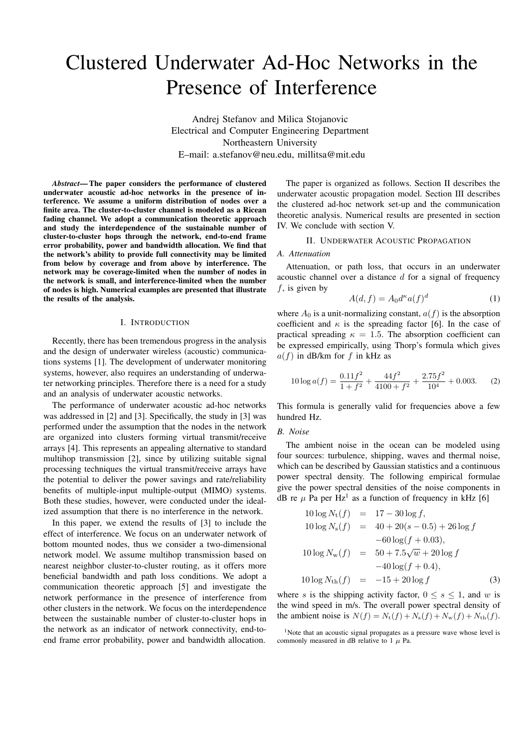# Clustered Underwater Ad-Hoc Networks in the Presence of Interference

Andrej Stefanov and Milica Stojanovic Electrical and Computer Engineering Department Northeastern University E–mail: a.stefanov@neu.edu, millitsa@mit.edu

*Abstract*— The paper considers the performance of clustered underwater acoustic ad-hoc networks in the presence of interference. We assume a uniform distribution of nodes over a finite area. The cluster-to-cluster channel is modeled as a Ricean fading channel. We adopt a communication theoretic approach and study the interdependence of the sustainable number of cluster-to-cluster hops through the network, end-to-end frame error probability, power and bandwidth allocation. We find that the network's ability to provide full connectivity may be limited from below by coverage and from above by interference. The network may be coverage-limited when the number of nodes in the network is small, and interference-limited when the number of nodes is high. Numerical examples are presented that illustrate the results of the analysis.

## I. INTRODUCTION

Recently, there has been tremendous progress in the analysis and the design of underwater wireless (acoustic) communications systems [1]. The development of underwater monitoring systems, however, also requires an understanding of underwater networking principles. Therefore there is a need for a study and an analysis of underwater acoustic networks.

The performance of underwater acoustic ad-hoc networks was addressed in [2] and [3]. Specifically, the study in [3] was performed under the assumption that the nodes in the network are organized into clusters forming virtual transmit/receive arrays [4]. This represents an appealing alternative to standard multihop transmission [2], since by utilizing suitable signal processing techniques the virtual transmit/receive arrays have the potential to deliver the power savings and rate/reliability benefits of multiple-input multiple-output (MIMO) systems. Both these studies, however, were conducted under the idealized assumption that there is no interference in the network.

In this paper, we extend the results of [3] to include the effect of interference. We focus on an underwater network of bottom mounted nodes, thus we consider a two-dimensional network model. We assume multihop transmission based on nearest neighbor cluster-to-cluster routing, as it offers more beneficial bandwidth and path loss conditions. We adopt a communication theoretic approach [5] and investigate the network performance in the presence of interference from other clusters in the network. We focus on the interdependence between the sustainable number of cluster-to-cluster hops in the network as an indicator of network connectivity, end-toend frame error probability, power and bandwidth allocation.

The paper is organized as follows. Section II describes the underwater acoustic propagation model. Section III describes the clustered ad-hoc network set-up and the communication theoretic analysis. Numerical results are presented in section IV. We conclude with section V.

# II. UNDERWATER ACOUSTIC PROPAGATION

### *A. Attenuation*

Attenuation, or path loss, that occurs in an underwater acoustic channel over a distance *d* for a signal of frequency *f*, is given by

$$
A(d, f) = A_0 d^{\kappa} a(f)^d \tag{1}
$$

where  $A_0$  is a unit-normalizing constant,  $a(f)$  is the absorption coefficient and  $\kappa$  is the spreading factor [6]. In the case of practical spreading  $\kappa = 1.5$ . The absorption coefficient can be expressed empirically, using Thorp's formula which gives *a*(*f*) in dB/km for *f* in kHz as

$$
10\log a(f) = \frac{0.11f^2}{1+f^2} + \frac{44f^2}{4100+f^2} + \frac{2.75f^2}{10^4} + 0.003.
$$
 (2)

This formula is generally valid for frequencies above a few hundred Hz.

# *B. Noise*

The ambient noise in the ocean can be modeled using four sources: turbulence, shipping, waves and thermal noise, which can be described by Gaussian statistics and a continuous power spectral density. The following empirical formulae give the power spectral densities of the noise components in dB re  $\mu$  Pa per Hz<sup>1</sup> as a function of frequency in kHz [6]

$$
10\log N_{\rm t}(f) = 17 - 30\log f,
$$
  
\n
$$
10\log N_{\rm s}(f) = 40 + 20(s - 0.5) + 26\log f
$$
  
\n
$$
-60\log(f + 0.03),
$$
  
\n
$$
10\log N_{\rm w}(f) = 50 + 7.5\sqrt{w} + 20\log f
$$
  
\n
$$
-40\log(f + 0.4),
$$
  
\n
$$
10\log N_{\rm th}(f) = -15 + 20\log f
$$
 (3)

where *s* is the shipping activity factor,  $0 \le s \le 1$ , and *w* is the wind speed in m/s. The overall power spectral density of the ambient noise is  $N(f) = N_t(f) + N_s(f) + N_w(f) + N_{th}(f)$ .

<sup>&</sup>lt;sup>1</sup>Note that an acoustic signal propagates as a pressure wave whose level is commonly measured in dB relative to  $1 \mu$  Pa.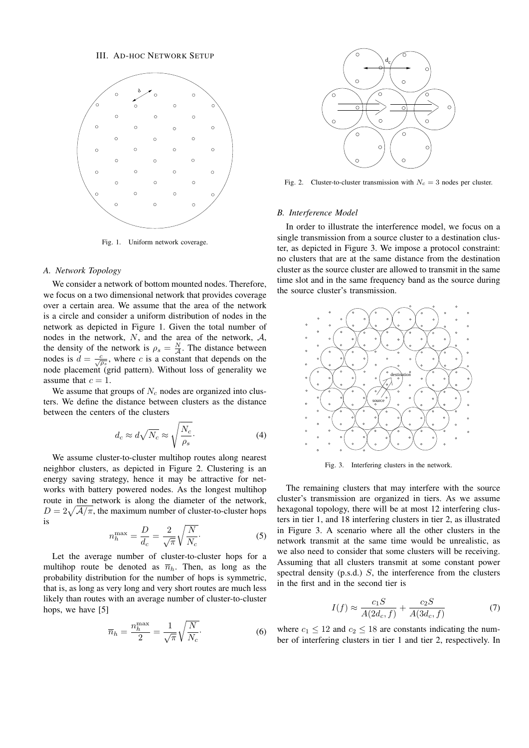

Fig. 1. Uniform network coverage.

## *A. Network Topology*

We consider a network of bottom mounted nodes. Therefore, we focus on a two dimensional network that provides coverage over a certain area. We assume that the area of the network is a circle and consider a uniform distribution of nodes in the network as depicted in Figure 1. Given the total number of nodes in the network, *N*, and the area of the network, *A*, the density of the network is  $\rho_s = \frac{N}{4}$  $\frac{N}{A}$ . The distance between nodes is  $d = \frac{c}{\sqrt{\rho_s}}$ , where *c* is a constant that depends on the node placement (grid pattern). Without loss of generality we assume that  $c = 1$ .

We assume that groups of  $N_c$  nodes are organized into clusters. We define the distance between clusters as the distance between the centers of the clusters

$$
d_c \approx d\sqrt{N_c} \approx \sqrt{\frac{N_c}{\rho_s}}.\tag{4}
$$

We assume cluster-to-cluster multihop routes along nearest neighbor clusters, as depicted in Figure 2. Clustering is an energy saving strategy, hence it may be attractive for networks with battery powered nodes. As the longest multihop route in the network is along the diameter of the network,  $D = 2\sqrt{\frac{\mathcal{A}}{\pi}}$ , the maximum number of cluster-to-cluster hops is

$$
n_h^{\text{max}} = \frac{D}{d_c} = \frac{2}{\sqrt{\pi}} \sqrt{\frac{N}{N_c}}.
$$
 (5)

Let the average number of cluster-to-cluster hops for a multihop route be denoted as  $\overline{n}_h$ . Then, as long as the probability distribution for the number of hops is symmetric, that is, as long as very long and very short routes are much less likely than routes with an average number of cluster-to-cluster hops, we have [5]

$$
\overline{n}_h = \frac{n_h^{\text{max}}}{2} = \frac{1}{\sqrt{\pi}} \sqrt{\frac{N}{N_c}}.
$$
 (6)



Fig. 2. Cluster-to-cluster transmission with  $N_c = 3$  nodes per cluster.

### *B. Interference Model*

In order to illustrate the interference model, we focus on a single transmission from a source cluster to a destination cluster, as depicted in Figure 3. We impose a protocol constraint: no clusters that are at the same distance from the destination cluster as the source cluster are allowed to transmit in the same time slot and in the same frequency band as the source during the source cluster's transmission.



Fig. 3. Interfering clusters in the network.

The remaining clusters that may interfere with the source cluster's transmission are organized in tiers. As we assume hexagonal topology, there will be at most 12 interfering clusters in tier 1, and 18 interfering clusters in tier 2, as illustrated in Figure 3. A scenario where all the other clusters in the network transmit at the same time would be unrealistic, as we also need to consider that some clusters will be receiving. Assuming that all clusters transmit at some constant power spectral density (p.s.d.) *S*, the interference from the clusters in the first and in the second tier is

$$
I(f) \approx \frac{c_1 S}{A(2d_c, f)} + \frac{c_2 S}{A(3d_c, f)}\tag{7}
$$

where  $c_1 \leq 12$  and  $c_2 \leq 18$  are constants indicating the number of interfering clusters in tier 1 and tier 2, respectively. In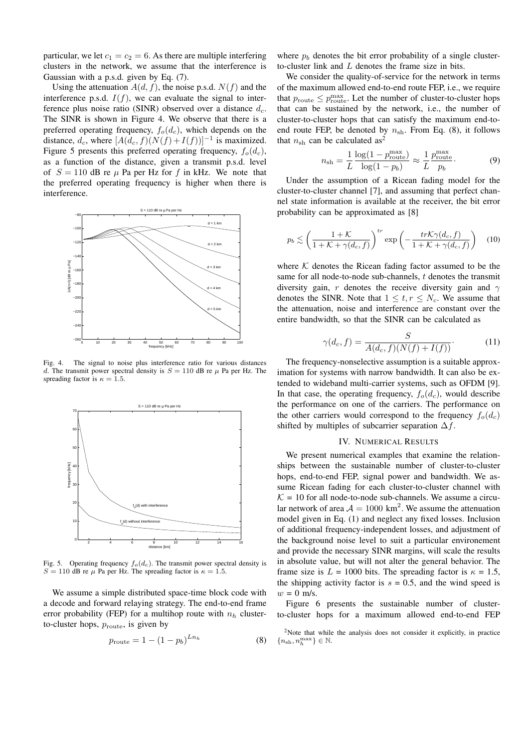particular, we let  $c_1 = c_2 = 6$ . As there are multiple interfering clusters in the network, we assume that the interference is Gaussian with a p.s.d. given by Eq. (7).

Using the attenuation  $A(d, f)$ , the noise p.s.d.  $N(f)$  and the interference p.s.d.  $I(f)$ , we can evaluate the signal to interference plus noise ratio (SINR) observed over a distance *dc*. The SINR is shown in Figure 4. We observe that there is a preferred operating frequency,  $f_o(d_c)$ , which depends on the distance,  $d_c$ , where  $[A(d_c, f)(N(f) + I(f))]^{-1}$  is maximized. Figure 5 presents this preferred operating frequency,  $f_o(d_c)$ , as a function of the distance, given a transmit p.s.d. level of  $S = 110$  dB re  $\mu$  Pa per Hz for f in kHz. We note that the preferred operating frequency is higher when there is interference.



Fig. 4. The signal to noise plus interference ratio for various distances *d*. The transmit power spectral density is  $S = 110$  dB re  $\mu$  Pa per Hz. The spreading factor is  $\kappa = 1.5$ .



Fig. 5. Operating frequency  $f_o(d_c)$ . The transmit power spectral density is  $S = 110$  dB re  $\mu$  Pa per Hz. The spreading factor is  $\kappa = 1.5$ .

We assume a simple distributed space-time block code with a decode and forward relaying strategy. The end-to-end frame error probability (FEP) for a multihop route with  $n_h$  clusterto-cluster hops,  $p_{\text{route}}$ , is given by

$$
p_{\text{route}} = 1 - (1 - p_b)^{L n_h} \tag{8}
$$

where  $p_b$  denotes the bit error probability of a single clusterto-cluster link and *L* denotes the frame size in bits.

We consider the quality-of-service for the network in terms of the maximum allowed end-to-end route FEP, i.e., we require that  $p_{\text{route}} \leq p_{\text{route}}^{\text{max}}$ . Let the number of cluster-to-cluster hops that can be sustained by the network, i.e., the number of cluster-to-cluster hops that can satisfy the maximum end-toend route FEP, be denoted by  $n_{\rm sh}$ . From Eq. (8), it follows that  $n_{\rm sh}$  can be calculated as<sup>2</sup>

$$
n_{\rm sh} = \frac{1}{L} \frac{\log(1 - p_{\rm route}^{\rm max})}{\log(1 - p_b)} \approx \frac{1}{L} \frac{p_{\rm route}^{\rm max}}{p_b}.
$$
 (9)

Under the assumption of a Ricean fading model for the cluster-to-cluster channel [7], and assuming that perfect channel state information is available at the receiver, the bit error probability can be approximated as [8]

$$
p_b \lesssim \left(\frac{1+\mathcal{K}}{1+\mathcal{K}+\gamma(d_c,f)}\right)^{tr} \exp\left(-\frac{tr\mathcal{K}\gamma(d_c,f)}{1+\mathcal{K}+\gamma(d_c,f)}\right) \quad (10)
$$

where  $K$  denotes the Ricean fading factor assumed to be the same for all node-to-node sub-channels, *t* denotes the transmit diversity gain, *r* denotes the receive diversity gain and *γ* denotes the SINR. Note that  $1 \leq t, r \leq N_c$ . We assume that the attenuation, noise and interference are constant over the entire bandwidth, so that the SINR can be calculated as

$$
\gamma(d_c, f) = \frac{S}{A(d_c, f)(N(f) + I(f))}.\tag{11}
$$

The frequency-nonselective assumption is a suitable approximation for systems with narrow bandwidth. It can also be extended to wideband multi-carrier systems, such as OFDM [9]. In that case, the operating frequency,  $f_o(d_c)$ , would describe the performance on one of the carriers. The performance on the other carriers would correspond to the frequency  $f_o(d_c)$ shifted by multiples of subcarrier separation ∆*f*.

### IV. NUMERICAL RESULTS

We present numerical examples that examine the relationships between the sustainable number of cluster-to-cluster hops, end-to-end FEP, signal power and bandwidth. We assume Ricean fading for each cluster-to-cluster channel with  $K = 10$  for all node-to-node sub-channels. We assume a circular network of area  $A = 1000 \text{ km}^2$ . We assume the attenuation model given in Eq. (1) and neglect any fixed losses. Inclusion of additional frequency-independent losses, and adjustment of the background noise level to suit a particular environement and provide the necessary SINR margins, will scale the results in absolute value, but will not alter the general behavior. The frame size is  $L = 1000$  bits. The spreading factor is  $\kappa = 1.5$ , the shipping activity factor is  $s = 0.5$ , and the wind speed is  $w = 0$  m/s.

Figure 6 presents the sustainable number of clusterto-cluster hops for a maximum allowed end-to-end FEP

<sup>2</sup>Note that while the analysis does not consider it explicitly, in practice  $\{n_{\mathrm{sh}}, n_{h}^{\mathrm{max}}\} \in \mathbb{N}.$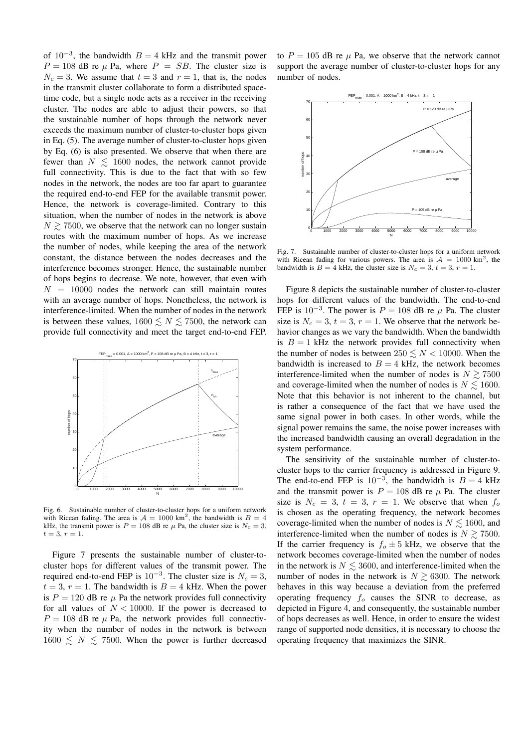of  $10^{-3}$ , the bandwidth  $B = 4$  kHz and the transmit power  $P = 108$  dB re  $\mu$  Pa, where  $P = SB$ . The cluster size is  $N_c = 3$ . We assume that  $t = 3$  and  $r = 1$ , that is, the nodes in the transmit cluster collaborate to form a distributed spacetime code, but a single node acts as a receiver in the receiving cluster. The nodes are able to adjust their powers, so that the sustainable number of hops through the network never exceeds the maximum number of cluster-to-cluster hops given in Eq. (5). The average number of cluster-to-cluster hops given by Eq. (6) is also presented. We observe that when there are fewer than  $N \leq 1600$  nodes, the network cannot provide full connectivity. This is due to the fact that with so few nodes in the network, the nodes are too far apart to guarantee the required end-to-end FEP for the available transmit power. Hence, the network is coverage-limited. Contrary to this situation, when the number of nodes in the network is above  $N \gtrsim 7500$ , we observe that the network can no longer sustain routes with the maximum number of hops. As we increase the number of nodes, while keeping the area of the network constant, the distance between the nodes decreases and the interference becomes stronger. Hence, the sustainable number of hops begins to decrease. We note, however, that even with  $N = 10000$  nodes the network can still maintain routes with an average number of hops. Nonetheless, the network is interference-limited. When the number of nodes in the network is between these values,  $1600 \lesssim N \lesssim 7500$ , the network can provide full connectivity and meet the target end-to-end FEP.



Fig. 6. Sustainable number of cluster-to-cluster hops for a uniform network with Ricean fading. The area is  $A = 1000$  km<sup>2</sup>, the bandwidth is  $B = 4$ kHz, the transmit power is  $P = 108$  dB re  $\mu$  Pa, the cluster size is  $N_c = 3$ ,  $t = 3, r = 1.$ 

Figure 7 presents the sustainable number of cluster-tocluster hops for different values of the transmit power. The required end-to-end FEP is  $10^{-3}$ . The cluster size is  $N_c = 3$ ,  $t = 3$ ,  $r = 1$ . The bandwidth is  $B = 4$  kHz. When the power is  $P = 120$  dB re  $\mu$  Pa the network provides full connectivity for all values of  $N < 10000$ . If the power is decreased to  $P = 108$  dB re  $\mu$  Pa, the network provides full connectivity when the number of nodes in the network is between  $1600 \leq N \leq 7500$ . When the power is further decreased to  $P = 105$  dB re  $\mu$  Pa, we observe that the network cannot support the average number of cluster-to-cluster hops for any number of nodes.



Fig. 7. Sustainable number of cluster-to-cluster hops for a uniform network with Ricean fading for various powers. The area is  $A = 1000 \text{ km}^2$ , the bandwidth is  $B = 4$  kHz, the cluster size is  $N_c = 3$ ,  $t = 3$ ,  $r = 1$ .

Figure 8 depicts the sustainable number of cluster-to-cluster hops for different values of the bandwidth. The end-to-end FEP is  $10^{-3}$ . The power is  $P = 108$  dB re  $\mu$  Pa. The cluster size is  $N_c = 3$ ,  $t = 3$ ,  $r = 1$ . We observe that the network behavior changes as we vary the bandwidth. When the bandwidth is  $B = 1$  kHz the network provides full connectivity when the number of nodes is between  $250 \leq N < 10000$ . When the bandwidth is increased to  $B = 4$  kHz, the network becomes interference-limited when the number of nodes is  $N \ge 7500$ and coverage-limited when the number of nodes is  $N \leq 1600$ . Note that this behavior is not inherent to the channel, but is rather a consequence of the fact that we have used the same signal power in both cases. In other words, while the signal power remains the same, the noise power increases with the increased bandwidth causing an overall degradation in the system performance.

The sensitivity of the sustainable number of cluster-tocluster hops to the carrier frequency is addressed in Figure 9. The end-to-end FEP is  $10^{-3}$ , the bandwidth is  $B = 4$  kHz and the transmit power is  $P = 108$  dB re  $\mu$  Pa. The cluster size is  $N_c = 3$ ,  $t = 3$ ,  $r = 1$ . We observe that when  $f_o$ is chosen as the operating frequency, the network becomes coverage-limited when the number of nodes is  $N \lesssim 1600$ , and interference-limited when the number of nodes is  $N \gtrsim 7500$ . If the carrier frequency is  $f<sub>o</sub> \pm 5$  kHz, we observe that the network becomes coverage-limited when the number of nodes in the network is  $N \leq 3600$ , and interference-limited when the number of nodes in the network is  $N \gtrsim 6300$ . The network behaves in this way because a deviation from the preferred operating frequency *f<sup>o</sup>* causes the SINR to decrease, as depicted in Figure 4, and consequently, the sustainable number of hops decreases as well. Hence, in order to ensure the widest range of supported node densities, it is necessary to choose the operating frequency that maximizes the SINR.